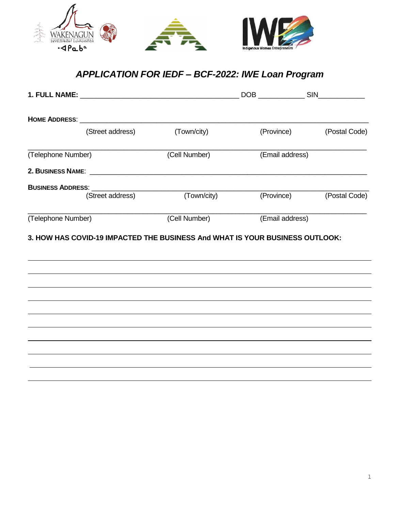

# *APPLICATION FOR IEDF – BCF-2022: IWE Loan Program*

|                          | (Street address) | (Town/city)                                                                                                           |                 | (Province) (Postal Code) |  |
|--------------------------|------------------|-----------------------------------------------------------------------------------------------------------------------|-----------------|--------------------------|--|
| (Telephone Number)       |                  | (Cell Number)                                                                                                         | (Email address) |                          |  |
|                          |                  | 2. BUSINESS NAME: <u>Andrea Barbara and Barbara and Barbara and Barbara and Barbara and Barbara and Barbara and B</u> |                 |                          |  |
| <b>BUSINESS ADDRESS:</b> |                  |                                                                                                                       |                 |                          |  |
|                          | (Street address) | (Town/city)                                                                                                           |                 | (Province) (Postal Code) |  |
| (Telephone Number)       |                  | (Cell Number)                                                                                                         | (Email address) |                          |  |
|                          |                  |                                                                                                                       |                 |                          |  |
|                          |                  |                                                                                                                       |                 |                          |  |
|                          |                  |                                                                                                                       |                 |                          |  |
|                          |                  |                                                                                                                       |                 |                          |  |
|                          |                  |                                                                                                                       |                 |                          |  |
|                          |                  |                                                                                                                       |                 |                          |  |
|                          |                  |                                                                                                                       |                 |                          |  |
|                          |                  |                                                                                                                       |                 |                          |  |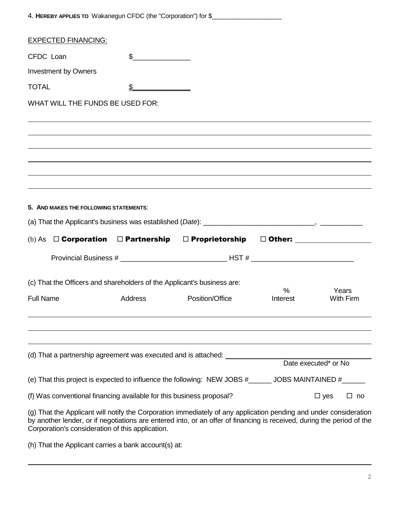|                                                                         |                                                                                                                                                                                                                                                                                                                                                                                                                      | 4. HEREBY APPLIES TO Wakanegun CFDC (the "Corporation") for \$                                                                                                                                                                              |          |                      |                  |
|-------------------------------------------------------------------------|----------------------------------------------------------------------------------------------------------------------------------------------------------------------------------------------------------------------------------------------------------------------------------------------------------------------------------------------------------------------------------------------------------------------|---------------------------------------------------------------------------------------------------------------------------------------------------------------------------------------------------------------------------------------------|----------|----------------------|------------------|
| <b>EXPECTED FINANCING:</b>                                              |                                                                                                                                                                                                                                                                                                                                                                                                                      |                                                                                                                                                                                                                                             |          |                      |                  |
| CFDC Loan                                                               | $\frac{1}{\sqrt{1-\frac{1}{2}}\sqrt{1-\frac{1}{2}}\sqrt{1-\frac{1}{2}}\sqrt{1-\frac{1}{2}}\sqrt{1-\frac{1}{2}}\sqrt{1-\frac{1}{2}}\sqrt{1-\frac{1}{2}}\sqrt{1-\frac{1}{2}}\sqrt{1-\frac{1}{2}}\sqrt{1-\frac{1}{2}}\sqrt{1-\frac{1}{2}}\sqrt{1-\frac{1}{2}}\sqrt{1-\frac{1}{2}}\sqrt{1-\frac{1}{2}}\sqrt{1-\frac{1}{2}}\sqrt{1-\frac{1}{2}}\sqrt{1-\frac{1}{2}}\sqrt{1-\frac{1}{2}}\sqrt{1-\frac{1}{2}}\sqrt{1-\frac$ |                                                                                                                                                                                                                                             |          |                      |                  |
| <b>Investment by Owners</b>                                             |                                                                                                                                                                                                                                                                                                                                                                                                                      |                                                                                                                                                                                                                                             |          |                      |                  |
| <b>TOTAL</b>                                                            | \$                                                                                                                                                                                                                                                                                                                                                                                                                   |                                                                                                                                                                                                                                             |          |                      |                  |
| WHAT WILL THE FUNDS BE USED FOR:                                        |                                                                                                                                                                                                                                                                                                                                                                                                                      |                                                                                                                                                                                                                                             |          |                      |                  |
|                                                                         |                                                                                                                                                                                                                                                                                                                                                                                                                      |                                                                                                                                                                                                                                             |          |                      |                  |
|                                                                         |                                                                                                                                                                                                                                                                                                                                                                                                                      |                                                                                                                                                                                                                                             |          |                      |                  |
|                                                                         |                                                                                                                                                                                                                                                                                                                                                                                                                      |                                                                                                                                                                                                                                             |          |                      |                  |
|                                                                         |                                                                                                                                                                                                                                                                                                                                                                                                                      |                                                                                                                                                                                                                                             |          |                      |                  |
|                                                                         |                                                                                                                                                                                                                                                                                                                                                                                                                      |                                                                                                                                                                                                                                             |          |                      |                  |
|                                                                         |                                                                                                                                                                                                                                                                                                                                                                                                                      |                                                                                                                                                                                                                                             |          |                      |                  |
| 5. AND MAKES THE FOLLOWING STATEMENTS:                                  |                                                                                                                                                                                                                                                                                                                                                                                                                      |                                                                                                                                                                                                                                             |          |                      |                  |
|                                                                         |                                                                                                                                                                                                                                                                                                                                                                                                                      |                                                                                                                                                                                                                                             |          |                      |                  |
|                                                                         |                                                                                                                                                                                                                                                                                                                                                                                                                      | (b) As $\Box$ Corporation $\Box$ Partnership $\Box$ Proprietorship $\Box$ Other:                                                                                                                                                            |          |                      |                  |
|                                                                         |                                                                                                                                                                                                                                                                                                                                                                                                                      |                                                                                                                                                                                                                                             |          |                      |                  |
|                                                                         |                                                                                                                                                                                                                                                                                                                                                                                                                      |                                                                                                                                                                                                                                             |          |                      |                  |
| (c) That the Officers and shareholders of the Applicant's business are: |                                                                                                                                                                                                                                                                                                                                                                                                                      |                                                                                                                                                                                                                                             | %        |                      | Years            |
| <b>Full Name</b>                                                        | <b>Address</b>                                                                                                                                                                                                                                                                                                                                                                                                       | Position/Office                                                                                                                                                                                                                             | Interest |                      | <b>With Firm</b> |
|                                                                         |                                                                                                                                                                                                                                                                                                                                                                                                                      |                                                                                                                                                                                                                                             |          |                      |                  |
|                                                                         |                                                                                                                                                                                                                                                                                                                                                                                                                      |                                                                                                                                                                                                                                             |          |                      |                  |
|                                                                         |                                                                                                                                                                                                                                                                                                                                                                                                                      | (d) That a partnership agreement was executed and is attached:                                                                                                                                                                              |          |                      |                  |
|                                                                         |                                                                                                                                                                                                                                                                                                                                                                                                                      |                                                                                                                                                                                                                                             |          | Date executed* or No |                  |
|                                                                         |                                                                                                                                                                                                                                                                                                                                                                                                                      | (e) That this project is expected to influence the following: NEW JOBS $#$ _______ JOBS MAINTAINED $#$ _______                                                                                                                              |          |                      |                  |
| (f) Was conventional financing available for this business proposal?    |                                                                                                                                                                                                                                                                                                                                                                                                                      |                                                                                                                                                                                                                                             |          | $\square$ yes        | $\square$ no     |
| Corporation's consideration of this application.                        |                                                                                                                                                                                                                                                                                                                                                                                                                      | (g) That the Applicant will notify the Corporation immediately of any application pending and under consideration<br>by another lender, or if negotiations are entered into, or an offer of financing is received, during the period of the |          |                      |                  |

(h) That the Applicant carries a bank account(s) at: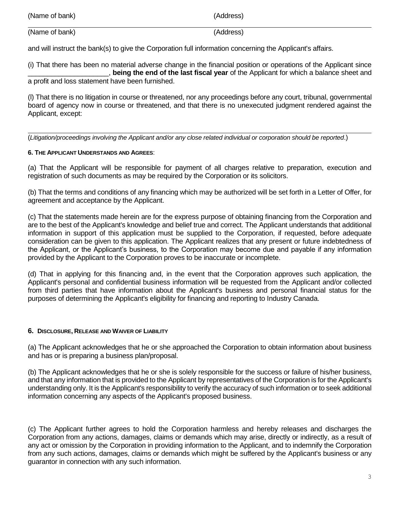| (Name of bank) | (Address) |
|----------------|-----------|
|                |           |

(Name of bank) (Address)

and will instruct the bank(s) to give the Corporation full information concerning the Applicant's affairs.

(i) That there has been no material adverse change in the financial position or operations of the Applicant since \_\_\_\_\_\_\_\_\_\_\_\_\_\_\_\_\_\_\_\_\_, **being the end of the last fiscal year** of the Applicant for which a balance sheet and a profit and loss statement have been furnished.

(l) That there is no litigation in course or threatened, nor any proceedings before any court, tribunal, governmental board of agency now in course or threatened, and that there is no unexecuted judgment rendered against the Applicant, except:

(*Litigation/proceedings involving the Applicant and/or any close related individual or corporation should be reported*.)

# **6. THE APPLICANT UNDERSTANDS AND AGREES**:

(a) That the Applicant will be responsible for payment of all charges relative to preparation, execution and registration of such documents as may be required by the Corporation or its solicitors.

(b) That the terms and conditions of any financing which may be authorized will be set forth in a Letter of Offer, for agreement and acceptance by the Applicant.

(c) That the statements made herein are for the express purpose of obtaining financing from the Corporation and are to the best of the Applicant's knowledge and belief true and correct. The Applicant understands that additional information in support of this application must be supplied to the Corporation, if requested, before adequate consideration can be given to this application. The Applicant realizes that any present or future indebtedness of the Applicant, or the Applicant's business, to the Corporation may become due and payable if any information provided by the Applicant to the Corporation proves to be inaccurate or incomplete.

(d) That in applying for this financing and, in the event that the Corporation approves such application, the Applicant's personal and confidential business information will be requested from the Applicant and/or collected from third parties that have information about the Applicant's business and personal financial status for the purposes of determining the Applicant's eligibility for financing and reporting to Industry Canada.

# **6. DISCLOSURE, RELEASE AND WAIVER OF LIABILITY**

(a) The Applicant acknowledges that he or she approached the Corporation to obtain information about business and has or is preparing a business plan/proposal.

(b) The Applicant acknowledges that he or she is solely responsible for the success or failure of his/her business, and that any information that is provided to the Applicant by representatives of the Corporation is for the Applicant's understanding only. It is the Applicant's responsibility to verify the accuracy of such information or to seek additional information concerning any aspects of the Applicant's proposed business.

(c) The Applicant further agrees to hold the Corporation harmless and hereby releases and discharges the Corporation from any actions, damages, claims or demands which may arise, directly or indirectly, as a result of any act or omission by the Corporation in providing information to the Applicant, and to indemnify the Corporation from any such actions, damages, claims or demands which might be suffered by the Applicant's business or any guarantor in connection with any such information.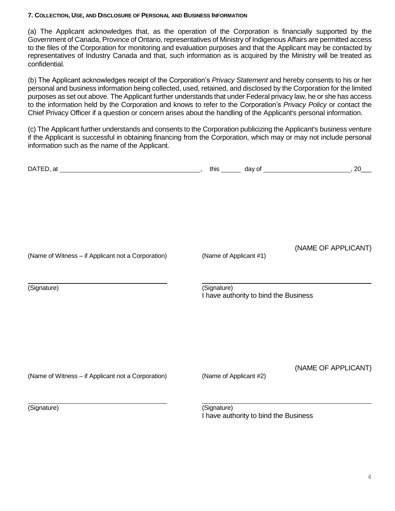#### **7. COLLECTION, USE, AND DISCLOSURE OF PERSONAL AND BUSINESS INFORMATION**

(a) The Applicant acknowledges that, as the operation of the Corporation is financially supported by the Government of Canada, Province of Ontario, representatives of Ministry of Indigenous Affairs are permitted access to the files of the Corporation for monitoring and evaluation purposes and that the Applicant may be contacted by representatives of Industry Canada and that, such information as is acquired by the Ministry will be treated as confidential.

(b) The Applicant acknowledges receipt of the Corporation's *Privacy Statement* and hereby consents to his or her personal and business information being collected, used, retained, and disclosed by the Corporation for the limited purposes as set out above. The Applicant further understands that under Federal privacy law, he or she has access to the information held by the Corporation and knows to refer to the Corporation's *Privacy Policy* or contact the Chief Privacy Officer if a question or concern arises about the handling of the Applicant's personal information.

(c) The Applicant further understands and consents to the Corporation publicizing the Applicant's business venture if the Applicant is successful in obtaining financing from the Corporation, which may or may not include personal information such as the name of the Applicant.

| (Name of Witness - if Applicant not a Corporation) | (Name of Applicant #1)                               | (NAME OF APPLICANT) |
|----------------------------------------------------|------------------------------------------------------|---------------------|
| (Signature)                                        | (Signature)<br>I have authority to bind the Business |                     |
| (Name of Witness - if Applicant not a Corporation) | (Name of Applicant #2)                               | (NAME OF APPLICANT) |
| (Signature)                                        | (Signature)<br>I have authority to bind the Business |                     |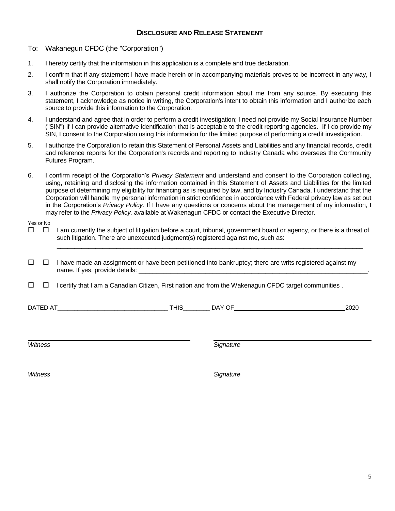### **DISCLOSURE AND RELEASE STATEMENT**

- To: Wakanegun CFDC (the "Corporation")
- 1. I hereby certify that the information in this application is a complete and true declaration.
- 2. I confirm that if any statement I have made herein or in accompanying materials proves to be incorrect in any way, I shall notify the Corporation immediately.
- 3. I authorize the Corporation to obtain personal credit information about me from any source. By executing this statement, I acknowledge as notice in writing, the Corporation's intent to obtain this information and I authorize each source to provide this information to the Corporation.
- 4. I understand and agree that in order to perform a credit investigation; I need not provide my Social Insurance Number ("SIN") if I can provide alternative identification that is acceptable to the credit reporting agencies. If I do provide my SIN, I consent to the Corporation using this information for the limited purpose of performing a credit investigation.
- 5. I authorize the Corporation to retain this Statement of Personal Assets and Liabilities and any financial records, credit and reference reports for the Corporation's records and reporting to Industry Canada who oversees the Community Futures Program.
- 6. I confirm receipt of the Corporation's *Privacy Statement* and understand and consent to the Corporation collecting, using, retaining and disclosing the information contained in this Statement of Assets and Liabilities for the limited purpose of determining my eligibility for financing as is required by law, and by Industry Canada. I understand that the Corporation will handle my personal information in strict confidence in accordance with Federal privacy law as set out in the Corporation's *Privacy Policy.* If I have any questions or concerns about the management of my information, I may refer to the *Privacy Policy,* available at Wakenagun CFDC or contact the Executive Director.

### Yes or No

 $\Box$  I am currently the subject of litigation before a court, tribunal, government board or agency, or there is a threat of such litigation. There are unexecuted judgment(s) registered against me, such as:

\_\_\_\_\_\_\_\_\_\_\_\_\_\_\_\_\_\_\_\_\_\_\_\_\_\_\_\_\_\_\_\_\_\_\_\_\_\_\_\_\_\_\_\_\_\_\_\_\_\_\_\_\_\_\_\_\_\_\_\_\_\_\_\_\_\_\_\_\_\_\_\_\_\_\_\_\_\_\_\_\_\_\_\_\_\_\_.

- $\Box$  I have made an assignment or have been petitioned into bankruptcy; there are writs registered against my name. If yes, provide details:
- $\Box$  I certify that I am a Canadian Citizen, First nation and from the Wakenagun CFDC target communities .

DATED AT\_\_\_\_\_\_\_\_\_\_\_\_\_\_\_\_\_\_\_\_\_\_\_\_\_\_\_\_\_\_\_\_\_ THIS\_\_\_\_\_\_\_\_ DAY OF 2020

*Witness Signature*

*Witness Signature*